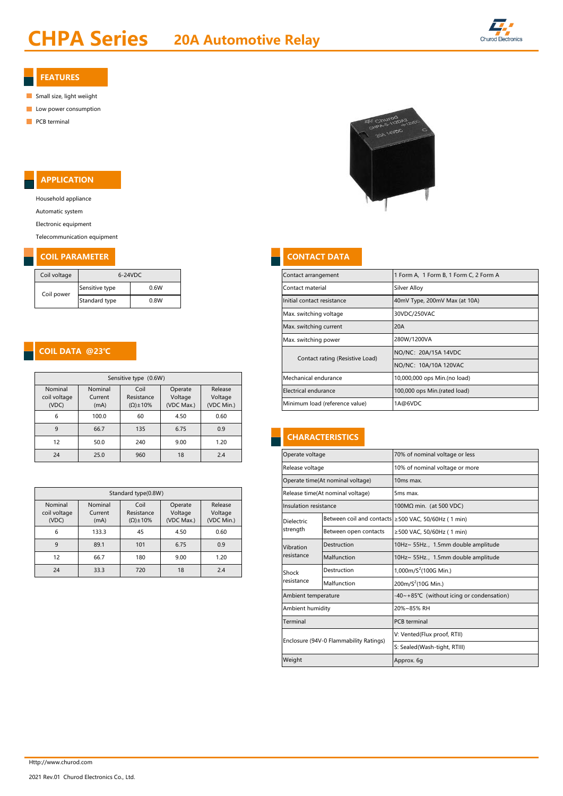# **CHPA Series** 20A Automotive Relay



#### FEATURES

- Small size, light weiight
- **Low power consumption**
- **PCB** terminal

## APPLICATION

Household appliance

Automatic system

Electronic equipment

Telecommunication equipment

#### **COIL PARAMETER CONTACT DATA**

| Coil voltage | $6-24VDC$      |      |  |  |  |  |
|--------------|----------------|------|--|--|--|--|
| Coil power   | Sensitive type | 0.6W |  |  |  |  |
|              | Standard type  | 0.8W |  |  |  |  |

### COIL DATA @23℃

| Sensitive type (0.6W)            |                            |                                           |                                  |                                  |  |  |  |  |
|----------------------------------|----------------------------|-------------------------------------------|----------------------------------|----------------------------------|--|--|--|--|
| Nominal<br>coil voltage<br>(VDC) | Nominal<br>Current<br>(mA) | Coil<br>Resistance<br>$(\Omega) \pm 10\%$ | Operate<br>Voltage<br>(VDC Max.) | Release<br>Voltage<br>(VDC Min.) |  |  |  |  |
| 6                                | 100.0                      | 60                                        | 4.50                             | 0.60                             |  |  |  |  |
| 9                                | 66.7                       | 135                                       | 6.75                             | 0.9                              |  |  |  |  |
| 12                               | 50.0                       | 240                                       | 9.00                             | 1.20                             |  |  |  |  |
| 24                               | 25.0                       | 960                                       | 18                               | 2.4                              |  |  |  |  |

| Standard type(0.8W)     |                    |                     |                                                                   |            |  |  |  |
|-------------------------|--------------------|---------------------|-------------------------------------------------------------------|------------|--|--|--|
| Nominal<br>coil voltage | Nominal<br>Current | Coil<br>Resistance  | Release<br>Operate<br>Insulation resistance<br>Voltage<br>Voltage |            |  |  |  |
| (VDC)                   | (mA)               | $(\Omega) \pm 10\%$ | (VDC Max.)                                                        | (VDC Min.) |  |  |  |
| 6                       | 133.3              | 45                  | 4.50                                                              | 0.60       |  |  |  |
| 9                       | 89.1               | 101                 | 6.75                                                              | 0.9        |  |  |  |
| 12                      | 66.7               | 180                 | 9.00                                                              | 1.20       |  |  |  |
| 24                      | 33.3               | 720                 | 18                                                                | 2.4        |  |  |  |



| Coil voltage<br>6-24VDC |                                                                                                                                                                 |      |      | Contact arrangement            | Form A, 1 Form B, 1 Form C, 2 Form A |                                 |                               |  |  |
|-------------------------|-----------------------------------------------------------------------------------------------------------------------------------------------------------------|------|------|--------------------------------|--------------------------------------|---------------------------------|-------------------------------|--|--|
| Coil power              | Sensitive type                                                                                                                                                  | 0.6W |      |                                |                                      | Contact material                | Silver Alloy                  |  |  |
|                         | Standard type                                                                                                                                                   |      | 0.8W |                                |                                      | Initial contact resistance      | 40mV Type, 200mV Max (at 10A) |  |  |
|                         |                                                                                                                                                                 |      |      |                                |                                      | Max. switching voltage          | 30VDC/250VAC                  |  |  |
|                         |                                                                                                                                                                 |      |      |                                |                                      | Max. switching current          | 20A                           |  |  |
|                         |                                                                                                                                                                 |      |      |                                |                                      | Max. switching power            | 280W/1200VA                   |  |  |
|                         |                                                                                                                                                                 |      |      |                                |                                      | Contact rating (Resistive Load) | NO/NC: 20A/15A 14VDC          |  |  |
|                         |                                                                                                                                                                 |      |      |                                |                                      |                                 | NO/NC: 10A/10A 120VAC         |  |  |
| Sensitive type (0.6W)   |                                                                                                                                                                 |      |      |                                |                                      | Mechanical endurance            | 10,000,000 ops Min.(no load)  |  |  |
| Nominal                 | Release<br>Nominal<br>Coil<br>Operate<br>coil voltage<br>Voltage<br>Resistance<br>Voltage<br>Current<br>$(\Omega) \pm 10\%$<br>(VDC Max.)<br>(VDC Min.)<br>(mA) |      |      |                                | Electrical endurance                 | 100,000 ops Min.(rated load)    |                               |  |  |
| (VDC)                   |                                                                                                                                                                 |      |      | Minimum load (reference value) | 1A@6VDC                              |                                 |                               |  |  |

#### **CHARACTERISTICS**

| 25.0                | 960                 | 18                 | 2.4                |                 | Operate voltage                                                   |                                        | 70% of nominal voltage or less           |  |  |
|---------------------|---------------------|--------------------|--------------------|-----------------|-------------------------------------------------------------------|----------------------------------------|------------------------------------------|--|--|
|                     |                     |                    |                    | Release voltage |                                                                   | 10% of nominal voltage or more         |                                          |  |  |
|                     |                     |                    |                    |                 |                                                                   | Operate time(At nominal voltage)       | 10 <sub>ms</sub> max.                    |  |  |
| Standard type(0.8W) |                     |                    |                    |                 |                                                                   | Release time(At nominal voltage)       | 5ms max.                                 |  |  |
| ominal              | Coil<br>Resistance  | Operate<br>Voltage | Release<br>Voltage |                 | Insulation resistance                                             |                                        | 100MΩ min. (at 500 VDC)                  |  |  |
| urrent<br>(mA)      | $(\Omega) \pm 10\%$ | (VDC Max.)         | (VDC Min.)         |                 | Between coil and contacts ≥500 VAC, 50/60Hz (1 min)<br>Dielectric |                                        |                                          |  |  |
| 133.3               | 45                  | 4.50               | 0.60               | strength        |                                                                   | Between open contacts                  | ≥500 VAC, 50/60Hz (1 min)                |  |  |
| 89.1                | 101                 | 6.75               | 0.9                | Vibration       |                                                                   | Destruction                            | 10Hz~ 55Hz., 1.5mm double amplitude      |  |  |
| 66.7                | 180                 | 9.00               | 1.20               | resistance      |                                                                   | Malfunction                            | 10Hz~ 55Hz., 1.5mm double amplitude      |  |  |
| 33.3                | 720                 | 18                 | 2.4                | Shock           | Destruction                                                       |                                        | 1,000m/ $S^2$ (100G Min.)                |  |  |
|                     |                     |                    |                    | resistance      |                                                                   | Malfunction                            | 200m/S <sup>2</sup> (10G Min.)           |  |  |
|                     |                     |                    |                    |                 | Ambient temperature                                               |                                        | -40~+85℃ (without icing or condensation) |  |  |
|                     |                     |                    |                    |                 | Ambient humidity                                                  |                                        | 20%~85% RH                               |  |  |
|                     |                     |                    |                    | Terminal        |                                                                   |                                        | <b>PCB</b> terminal                      |  |  |
|                     |                     |                    |                    |                 |                                                                   | Enclosure (94V-0 Flammability Ratings) | V: Vented(Flux proof, RTII)              |  |  |
|                     |                     |                    |                    |                 |                                                                   |                                        | S: Sealed(Wash-tight, RTIII)             |  |  |
|                     |                     |                    |                    | Weight          |                                                                   |                                        | Approx. 6q                               |  |  |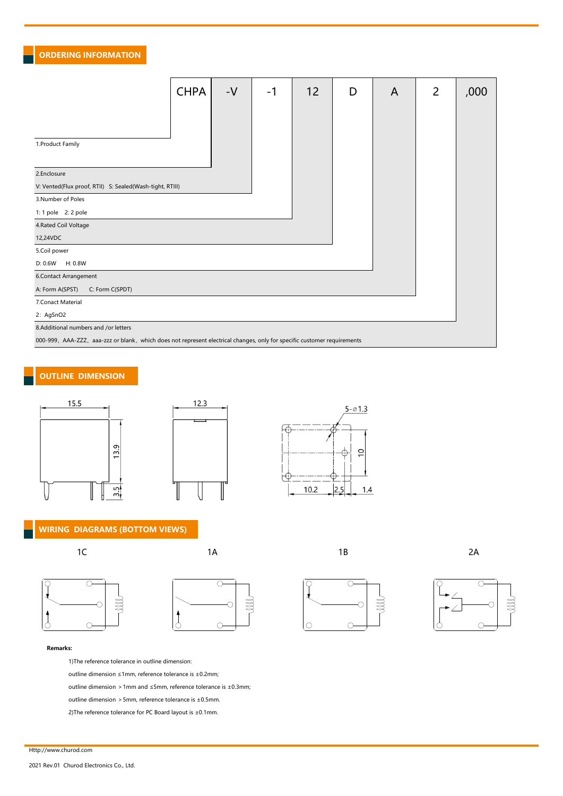# ORDERING INFORMATION

|                                                                                                                          | <b>CHPA</b> | $-V$ | -1 | 12 | D | A | 2 | ,000 |  |
|--------------------------------------------------------------------------------------------------------------------------|-------------|------|----|----|---|---|---|------|--|
|                                                                                                                          |             |      |    |    |   |   |   |      |  |
|                                                                                                                          |             |      |    |    |   |   |   |      |  |
|                                                                                                                          |             |      |    |    |   |   |   |      |  |
| 1.Product Family                                                                                                         |             |      |    |    |   |   |   |      |  |
|                                                                                                                          |             |      |    |    |   |   |   |      |  |
| 2.Enclosure                                                                                                              |             |      |    |    |   |   |   |      |  |
| V: Vented(Flux proof, RTII) S: Sealed(Wash-tight, RTIII)                                                                 |             |      |    |    |   |   |   |      |  |
| 3.Number of Poles                                                                                                        |             |      |    |    |   |   |   |      |  |
| 1: 1 pole 2: 2 pole                                                                                                      |             |      |    |    |   |   |   |      |  |
| 4. Rated Coil Voltage                                                                                                    |             |      |    |    |   |   |   |      |  |
| 12,24VDC                                                                                                                 |             |      |    |    |   |   |   |      |  |
| 5.Coil power                                                                                                             |             |      |    |    |   |   |   |      |  |
| H: 0.8W<br>D: 0.6W                                                                                                       |             |      |    |    |   |   |   |      |  |
| 6.Contact Arrangement                                                                                                    |             |      |    |    |   |   |   |      |  |
| A: Form A(SPST)<br>C: Form C(SPDT)                                                                                       |             |      |    |    |   |   |   |      |  |
| 7.Conact Material                                                                                                        |             |      |    |    |   |   |   |      |  |
| 2: AgSnO2                                                                                                                |             |      |    |    |   |   |   |      |  |
| 8.Additional numbers and /or letters                                                                                     |             |      |    |    |   |   |   |      |  |
| 000-999, AAA-ZZZ, aaa-zzz or blank, which does not represent electrical changes, only for specific customer requirements |             |      |    |    |   |   |   |      |  |

# OUTLINE DIMENSION







#### WIRING DIAGRAMS (BOTTOM VIEWS)

 $\overline{\circ}$ 

 $\circ$ 











Remarks:

 $\int_{0}^{1}$ 

1)The reference tolerance in outline dimension:

outline dimension ≤1mm, reference tolerance is ±0.2mm;

outline dimension >1mm and ≤5mm, reference tolerance is ±0.3mm;

 $\int_{0}^{4}$ 

outline dimension >5mm, reference tolerance is ±0.5mm.

2)The reference tolerance for PC Board layout is ±0.1mm.

Http://www.churod.com